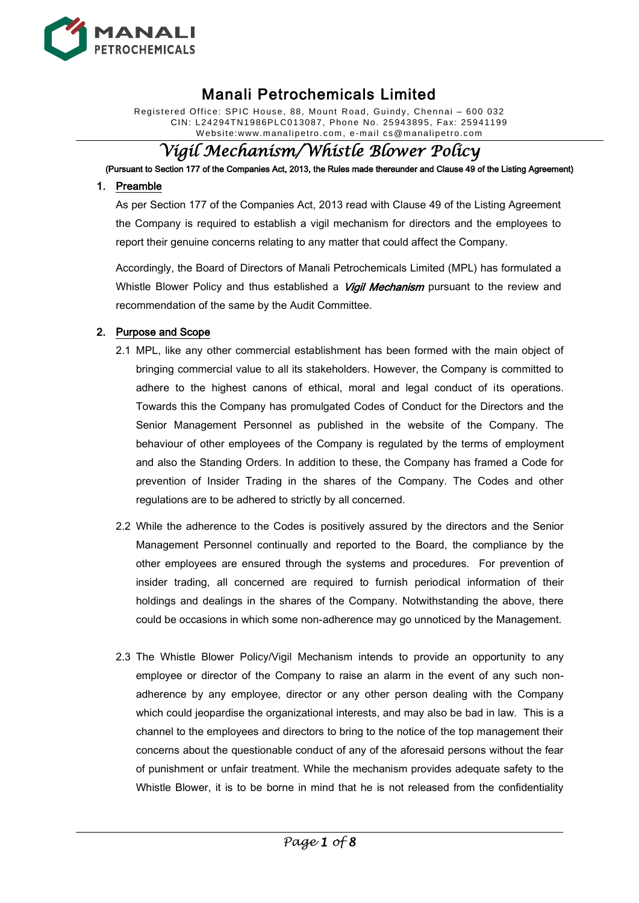

Registered Office: SPIC House, 88, Mount Road, Guindy, Chennai – 600 032 CIN: L24294TN1986PLC013087, Phone No. 25943895, Fax: 25941199 W ebsite:www.manalipetro. com, e -mail cs@manalipetro.com

# *Vigil Mechanism/Whistle Blower Policy*

(Pursuant to Section 177 of the Companies Act, 2013, the Rules made thereunder and Clause 49 of the Listing Agreement)

#### 1. Preamble

As per Section 177 of the Companies Act, 2013 read with Clause 49 of the Listing Agreement the Company is required to establish a vigil mechanism for directors and the employees to report their genuine concerns relating to any matter that could affect the Company.

Accordingly, the Board of Directors of Manali Petrochemicals Limited (MPL) has formulated a Whistle Blower Policy and thus established a *Vigil Mechanism* pursuant to the review and recommendation of the same by the Audit Committee.

#### 2. Purpose and Scope

- 2.1 MPL, like any other commercial establishment has been formed with the main object of bringing commercial value to all its stakeholders. However, the Company is committed to adhere to the highest canons of ethical, moral and legal conduct of its operations. Towards this the Company has promulgated Codes of Conduct for the Directors and the Senior Management Personnel as published in the website of the Company. The behaviour of other employees of the Company is regulated by the terms of employment and also the Standing Orders. In addition to these, the Company has framed a Code for prevention of Insider Trading in the shares of the Company. The Codes and other regulations are to be adhered to strictly by all concerned.
- 2.2 While the adherence to the Codes is positively assured by the directors and the Senior Management Personnel continually and reported to the Board, the compliance by the other employees are ensured through the systems and procedures. For prevention of insider trading, all concerned are required to furnish periodical information of their holdings and dealings in the shares of the Company. Notwithstanding the above, there could be occasions in which some non-adherence may go unnoticed by the Management.
- 2.3 The Whistle Blower Policy/Vigil Mechanism intends to provide an opportunity to any employee or director of the Company to raise an alarm in the event of any such nonadherence by any employee, director or any other person dealing with the Company which could jeopardise the organizational interests, and may also be bad in law. This is a channel to the employees and directors to bring to the notice of the top management their concerns about the questionable conduct of any of the aforesaid persons without the fear of punishment or unfair treatment. While the mechanism provides adequate safety to the Whistle Blower, it is to be borne in mind that he is not released from the confidentiality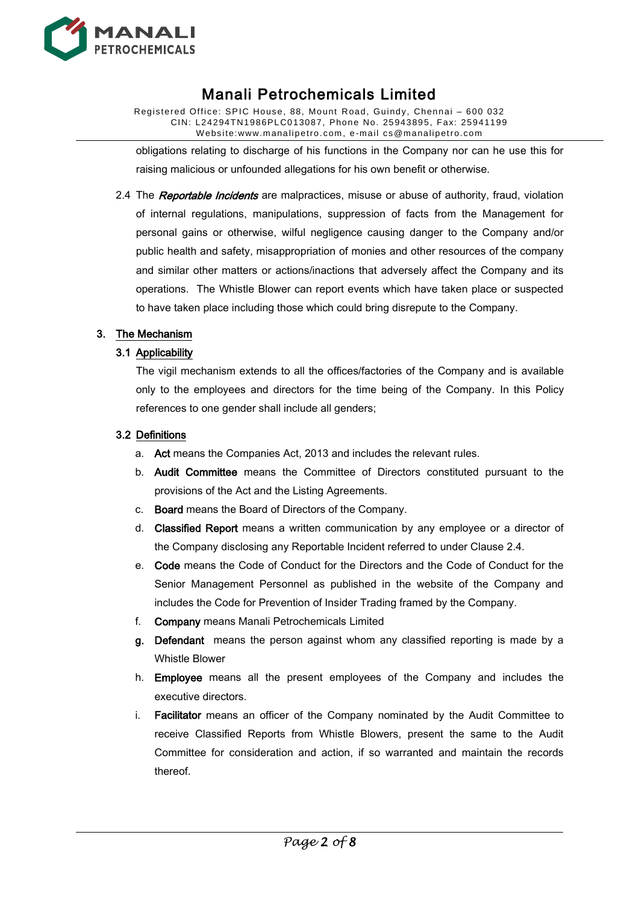

Registered Office: SPIC House, 88, Mount Road, Guindy, Chennai – 600 032 CIN: L24294TN1986PLC013087, Phone No. 25943895, Fax: 25941199 W ebsite:www.manalipetro. com, e -mail cs@manalipetro.com

obligations relating to discharge of his functions in the Company nor can he use this for raising malicious or unfounded allegations for his own benefit or otherwise.

2.4 The Reportable Incidents are malpractices, misuse or abuse of authority, fraud, violation of internal regulations, manipulations, suppression of facts from the Management for personal gains or otherwise, wilful negligence causing danger to the Company and/or public health and safety, misappropriation of monies and other resources of the company and similar other matters or actions/inactions that adversely affect the Company and its operations. The Whistle Blower can report events which have taken place or suspected to have taken place including those which could bring disrepute to the Company.

#### 3. The Mechanism

### 3.1 Applicability

The vigil mechanism extends to all the offices/factories of the Company and is available only to the employees and directors for the time being of the Company. In this Policy references to one gender shall include all genders;

#### 3.2 Definitions

- a. Act means the Companies Act, 2013 and includes the relevant rules.
- b. Audit Committee means the Committee of Directors constituted pursuant to the provisions of the Act and the Listing Agreements.
- c. Board means the Board of Directors of the Company.
- d. Classified Report means a written communication by any employee or a director of the Company disclosing any Reportable Incident referred to under Clause 2.4.
- e. Code means the Code of Conduct for the Directors and the Code of Conduct for the Senior Management Personnel as published in the website of the Company and includes the Code for Prevention of Insider Trading framed by the Company.
- f. Company means Manali Petrochemicals Limited
- g. Defendant means the person against whom any classified reporting is made by a Whistle Blower
- h. Employee means all the present employees of the Company and includes the executive directors.
- i. Facilitator means an officer of the Company nominated by the Audit Committee to receive Classified Reports from Whistle Blowers, present the same to the Audit Committee for consideration and action, if so warranted and maintain the records thereof.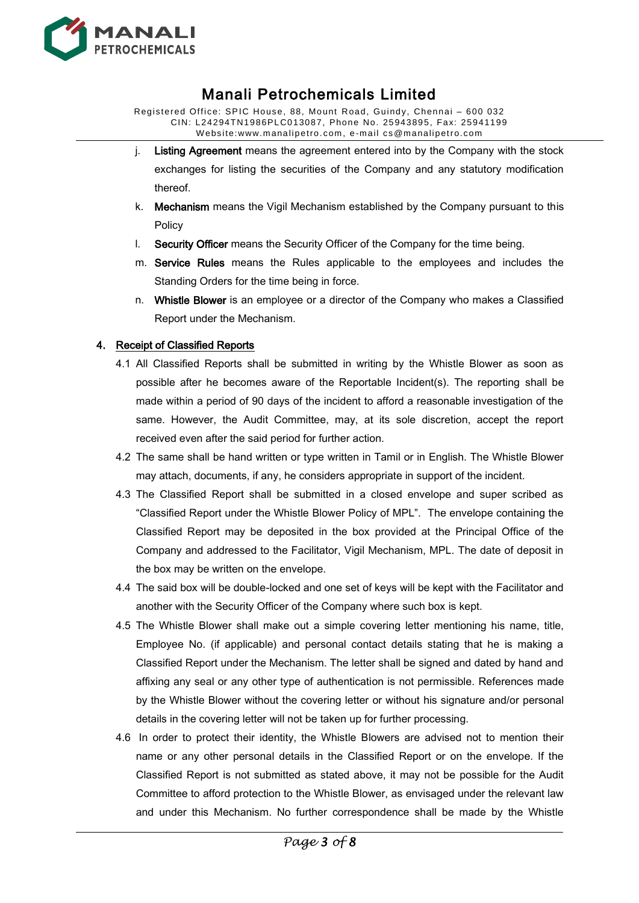

Registered Office: SPIC House, 88, Mount Road, Guindy, Chennai – 600 032 CIN: L24294TN1986PLC013087, Phone No. 25943895, Fax: 25941199 W ebsite:www.manalipetro. com, e -mail cs@manalipetro.com

- j. Listing Agreement means the agreement entered into by the Company with the stock exchanges for listing the securities of the Company and any statutory modification thereof.
- k. Mechanism means the Vigil Mechanism established by the Company pursuant to this Policy
- l. Security Officer means the Security Officer of the Company for the time being.
- m. Service Rules means the Rules applicable to the employees and includes the Standing Orders for the time being in force.
- n. Whistle Blower is an employee or a director of the Company who makes a Classified Report under the Mechanism.

### 4. Receipt of Classified Reports

- 4.1 All Classified Reports shall be submitted in writing by the Whistle Blower as soon as possible after he becomes aware of the Reportable Incident(s). The reporting shall be made within a period of 90 days of the incident to afford a reasonable investigation of the same. However, the Audit Committee, may, at its sole discretion, accept the report received even after the said period for further action.
- 4.2 The same shall be hand written or type written in Tamil or in English. The Whistle Blower may attach, documents, if any, he considers appropriate in support of the incident.
- 4.3 The Classified Report shall be submitted in a closed envelope and super scribed as "Classified Report under the Whistle Blower Policy of MPL". The envelope containing the Classified Report may be deposited in the box provided at the Principal Office of the Company and addressed to the Facilitator, Vigil Mechanism, MPL. The date of deposit in the box may be written on the envelope.
- 4.4 The said box will be double-locked and one set of keys will be kept with the Facilitator and another with the Security Officer of the Company where such box is kept.
- 4.5 The Whistle Blower shall make out a simple covering letter mentioning his name, title, Employee No. (if applicable) and personal contact details stating that he is making a Classified Report under the Mechanism. The letter shall be signed and dated by hand and affixing any seal or any other type of authentication is not permissible. References made by the Whistle Blower without the covering letter or without his signature and/or personal details in the covering letter will not be taken up for further processing.
- 4.6 In order to protect their identity, the Whistle Blowers are advised not to mention their name or any other personal details in the Classified Report or on the envelope. If the Classified Report is not submitted as stated above, it may not be possible for the Audit Committee to afford protection to the Whistle Blower, as envisaged under the relevant law and under this Mechanism. No further correspondence shall be made by the Whistle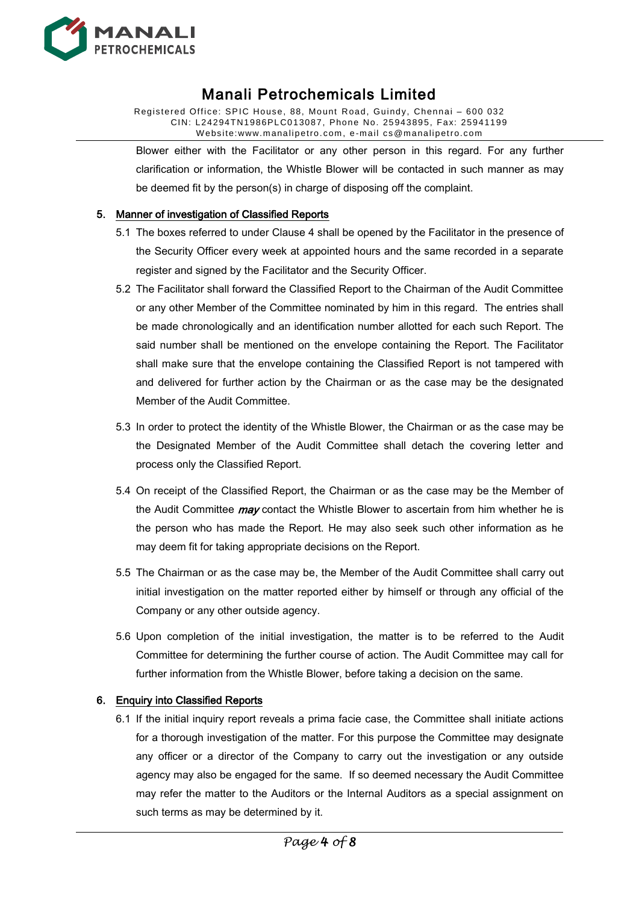

Registered Office: SPIC House, 88, Mount Road, Guindy, Chennai – 600 032 CIN: L24294TN1986PLC013087, Phone No. 25943895, Fax: 25941199 W ebsite:www.manalipetro. com, e -mail cs@manalipetro.com

Blower either with the Facilitator or any other person in this regard. For any further clarification or information, the Whistle Blower will be contacted in such manner as may be deemed fit by the person(s) in charge of disposing off the complaint.

### 5. Manner of investigation of Classified Reports

- 5.1 The boxes referred to under Clause 4 shall be opened by the Facilitator in the presence of the Security Officer every week at appointed hours and the same recorded in a separate register and signed by the Facilitator and the Security Officer.
- 5.2 The Facilitator shall forward the Classified Report to the Chairman of the Audit Committee or any other Member of the Committee nominated by him in this regard. The entries shall be made chronologically and an identification number allotted for each such Report. The said number shall be mentioned on the envelope containing the Report. The Facilitator shall make sure that the envelope containing the Classified Report is not tampered with and delivered for further action by the Chairman or as the case may be the designated Member of the Audit Committee.
- 5.3 In order to protect the identity of the Whistle Blower, the Chairman or as the case may be the Designated Member of the Audit Committee shall detach the covering letter and process only the Classified Report.
- 5.4 On receipt of the Classified Report, the Chairman or as the case may be the Member of the Audit Committee *may* contact the Whistle Blower to ascertain from him whether he is the person who has made the Report. He may also seek such other information as he may deem fit for taking appropriate decisions on the Report.
- 5.5 The Chairman or as the case may be, the Member of the Audit Committee shall carry out initial investigation on the matter reported either by himself or through any official of the Company or any other outside agency.
- 5.6 Upon completion of the initial investigation, the matter is to be referred to the Audit Committee for determining the further course of action. The Audit Committee may call for further information from the Whistle Blower, before taking a decision on the same.

#### 6. Enquiry into Classified Reports

6.1 If the initial inquiry report reveals a prima facie case, the Committee shall initiate actions for a thorough investigation of the matter. For this purpose the Committee may designate any officer or a director of the Company to carry out the investigation or any outside agency may also be engaged for the same. If so deemed necessary the Audit Committee may refer the matter to the Auditors or the Internal Auditors as a special assignment on such terms as may be determined by it.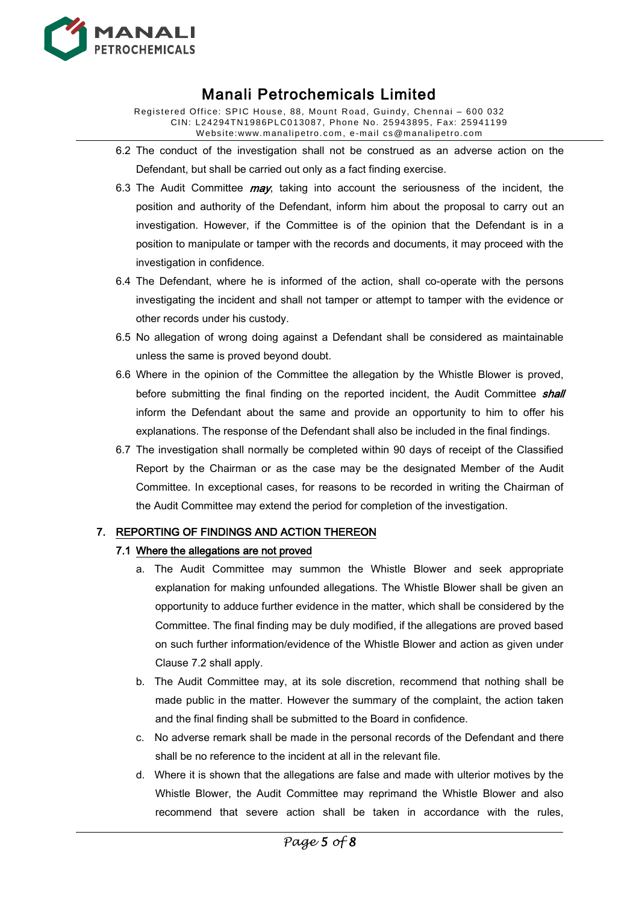

Registered Office: SPIC House, 88, Mount Road, Guindy, Chennai – 600 032 CIN: L24294TN1986PLC013087, Phone No. 25943895, Fax: 25941199 W ebsite:www.manalipetro. com, e -mail cs@manalipetro.com

- 6.2 The conduct of the investigation shall not be construed as an adverse action on the Defendant, but shall be carried out only as a fact finding exercise.
- 6.3 The Audit Committee  $may$ , taking into account the seriousness of the incident, the position and authority of the Defendant, inform him about the proposal to carry out an investigation. However, if the Committee is of the opinion that the Defendant is in a position to manipulate or tamper with the records and documents, it may proceed with the investigation in confidence.
- 6.4 The Defendant, where he is informed of the action, shall co-operate with the persons investigating the incident and shall not tamper or attempt to tamper with the evidence or other records under his custody.
- 6.5 No allegation of wrong doing against a Defendant shall be considered as maintainable unless the same is proved beyond doubt.
- 6.6 Where in the opinion of the Committee the allegation by the Whistle Blower is proved, before submitting the final finding on the reported incident, the Audit Committee **shall** inform the Defendant about the same and provide an opportunity to him to offer his explanations. The response of the Defendant shall also be included in the final findings.
- 6.7 The investigation shall normally be completed within 90 days of receipt of the Classified Report by the Chairman or as the case may be the designated Member of the Audit Committee. In exceptional cases, for reasons to be recorded in writing the Chairman of the Audit Committee may extend the period for completion of the investigation.

#### 7. REPORTING OF FINDINGS AND ACTION THEREON

#### 7.1 Where the allegations are not proved

- a. The Audit Committee may summon the Whistle Blower and seek appropriate explanation for making unfounded allegations. The Whistle Blower shall be given an opportunity to adduce further evidence in the matter, which shall be considered by the Committee. The final finding may be duly modified, if the allegations are proved based on such further information/evidence of the Whistle Blower and action as given under Clause 7.2 shall apply.
- b. The Audit Committee may, at its sole discretion, recommend that nothing shall be made public in the matter. However the summary of the complaint, the action taken and the final finding shall be submitted to the Board in confidence.
- c. No adverse remark shall be made in the personal records of the Defendant and there shall be no reference to the incident at all in the relevant file.
- d. Where it is shown that the allegations are false and made with ulterior motives by the Whistle Blower, the Audit Committee may reprimand the Whistle Blower and also recommend that severe action shall be taken in accordance with the rules,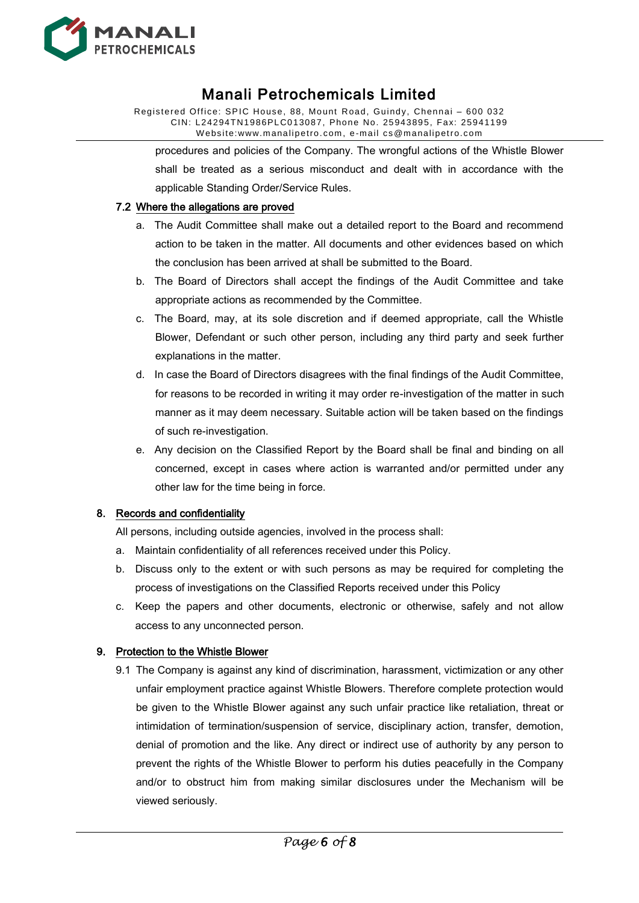

Registered Office: SPIC House, 88, Mount Road, Guindy, Chennai – 600 032 CIN: L24294TN1986PLC013087, Phone No. 25943895, Fax: 25941199 W ebsite:www.manalipetro. com, e -mail cs@manalipetro.com

procedures and policies of the Company. The wrongful actions of the Whistle Blower shall be treated as a serious misconduct and dealt with in accordance with the applicable Standing Order/Service Rules.

#### 7.2 Where the allegations are proved

- a. The Audit Committee shall make out a detailed report to the Board and recommend action to be taken in the matter. All documents and other evidences based on which the conclusion has been arrived at shall be submitted to the Board.
- b. The Board of Directors shall accept the findings of the Audit Committee and take appropriate actions as recommended by the Committee.
- c. The Board, may, at its sole discretion and if deemed appropriate, call the Whistle Blower, Defendant or such other person, including any third party and seek further explanations in the matter.
- d. In case the Board of Directors disagrees with the final findings of the Audit Committee, for reasons to be recorded in writing it may order re-investigation of the matter in such manner as it may deem necessary. Suitable action will be taken based on the findings of such re-investigation.
- e. Any decision on the Classified Report by the Board shall be final and binding on all concerned, except in cases where action is warranted and/or permitted under any other law for the time being in force.

#### 8. Records and confidentiality

All persons, including outside agencies, involved in the process shall:

- a. Maintain confidentiality of all references received under this Policy.
- b. Discuss only to the extent or with such persons as may be required for completing the process of investigations on the Classified Reports received under this Policy
- c. Keep the papers and other documents, electronic or otherwise, safely and not allow access to any unconnected person.

#### 9. Protection to the Whistle Blower

9.1 The Company is against any kind of discrimination, harassment, victimization or any other unfair employment practice against Whistle Blowers. Therefore complete protection would be given to the Whistle Blower against any such unfair practice like retaliation, threat or intimidation of termination/suspension of service, disciplinary action, transfer, demotion, denial of promotion and the like. Any direct or indirect use of authority by any person to prevent the rights of the Whistle Blower to perform his duties peacefully in the Company and/or to obstruct him from making similar disclosures under the Mechanism will be viewed seriously.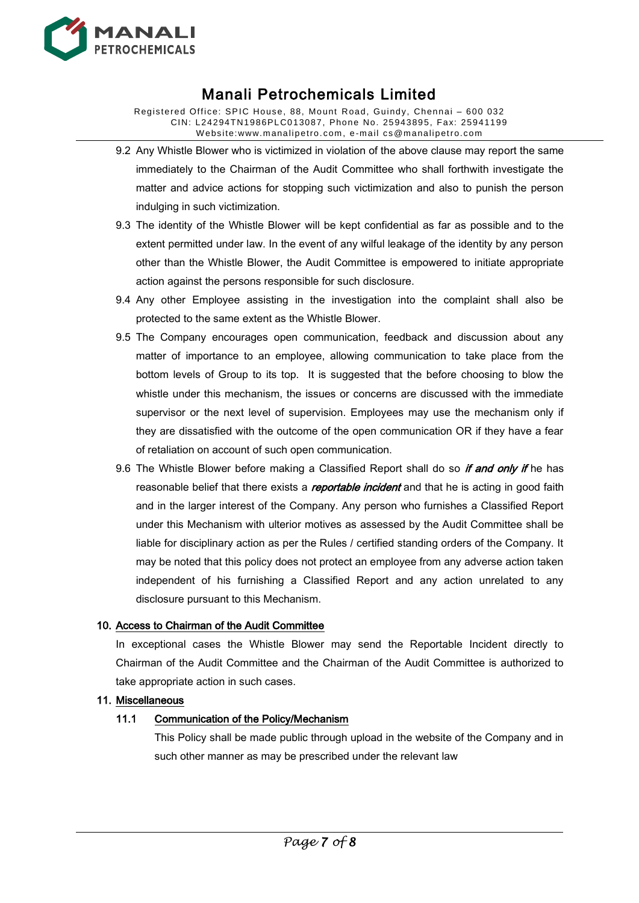

Registered Office: SPIC House, 88, Mount Road, Guindy, Chennai – 600 032 CIN: L24294TN1986PLC013087, Phone No. 25943895, Fax: 25941199 W ebsite:www.manalipetro. com, e -mail cs@manalipetro.com

- 9.2 Any Whistle Blower who is victimized in violation of the above clause may report the same immediately to the Chairman of the Audit Committee who shall forthwith investigate the matter and advice actions for stopping such victimization and also to punish the person indulging in such victimization.
- 9.3 The identity of the Whistle Blower will be kept confidential as far as possible and to the extent permitted under law. In the event of any wilful leakage of the identity by any person other than the Whistle Blower, the Audit Committee is empowered to initiate appropriate action against the persons responsible for such disclosure.
- 9.4 Any other Employee assisting in the investigation into the complaint shall also be protected to the same extent as the Whistle Blower.
- 9.5 The Company encourages open communication, feedback and discussion about any matter of importance to an employee, allowing communication to take place from the bottom levels of Group to its top. It is suggested that the before choosing to blow the whistle under this mechanism, the issues or concerns are discussed with the immediate supervisor or the next level of supervision. Employees may use the mechanism only if they are dissatisfied with the outcome of the open communication OR if they have a fear of retaliation on account of such open communication.
- 9.6 The Whistle Blower before making a Classified Report shall do so *if and only if* he has reasonable belief that there exists a *reportable incident* and that he is acting in good faith and in the larger interest of the Company. Any person who furnishes a Classified Report under this Mechanism with ulterior motives as assessed by the Audit Committee shall be liable for disciplinary action as per the Rules / certified standing orders of the Company. It may be noted that this policy does not protect an employee from any adverse action taken independent of his furnishing a Classified Report and any action unrelated to any disclosure pursuant to this Mechanism.

#### 10. Access to Chairman of the Audit Committee

In exceptional cases the Whistle Blower may send the Reportable Incident directly to Chairman of the Audit Committee and the Chairman of the Audit Committee is authorized to take appropriate action in such cases.

#### 11. Miscellaneous

#### 11.1 Communication of the Policy/Mechanism

This Policy shall be made public through upload in the website of the Company and in such other manner as may be prescribed under the relevant law